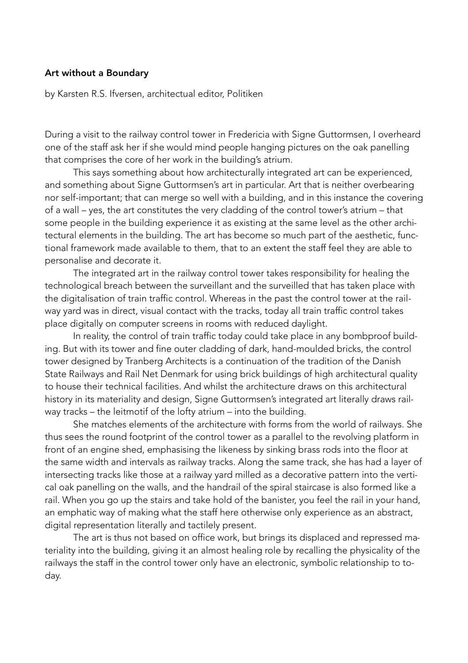## Art without a Boundary

by Karsten R.S. Ifversen, architectual editor, Politiken

During a visit to the railway control tower in Fredericia with Signe Guttormsen, I overheard one of the staff ask her if she would mind people hanging pictures on the oak panelling that comprises the core of her work in the building's atrium.

 This says something about how architecturally integrated art can be experienced, and something about Signe Guttormsen's art in particular. Art that is neither overbearing nor self-important; that can merge so well with a building, and in this instance the covering of a wall – yes, the art constitutes the very cladding of the control tower's atrium – that some people in the building experience it as existing at the same level as the other architectural elements in the building. The art has become so much part of the aesthetic, functional framework made available to them, that to an extent the staff feel they are able to personalise and decorate it.

 The integrated art in the railway control tower takes responsibility for healing the technological breach between the surveillant and the surveilled that has taken place with the digitalisation of train traffic control. Whereas in the past the control tower at the railway yard was in direct, visual contact with the tracks, today all train traffic control takes place digitally on computer screens in rooms with reduced daylight.

 In reality, the control of train traffic today could take place in any bombproof building. But with its tower and fine outer cladding of dark, hand-moulded bricks, the control tower designed by Tranberg Architects is a continuation of the tradition of the Danish State Railways and Rail Net Denmark for using brick buildings of high architectural quality to house their technical facilities. And whilst the architecture draws on this architectural history in its materiality and design, Signe Guttormsen's integrated art literally draws railway tracks – the leitmotif of the lofty atrium – into the building.

 She matches elements of the architecture with forms from the world of railways. She thus sees the round footprint of the control tower as a parallel to the revolving platform in front of an engine shed, emphasising the likeness by sinking brass rods into the floor at the same width and intervals as railway tracks. Along the same track, she has had a layer of intersecting tracks like those at a railway yard milled as a decorative pattern into the vertical oak panelling on the walls, and the handrail of the spiral staircase is also formed like a rail. When you go up the stairs and take hold of the banister, you feel the rail in your hand, an emphatic way of making what the staff here otherwise only experience as an abstract, digital representation literally and tactilely present.

 The art is thus not based on office work, but brings its displaced and repressed materiality into the building, giving it an almost healing role by recalling the physicality of the railways the staff in the control tower only have an electronic, symbolic relationship to today.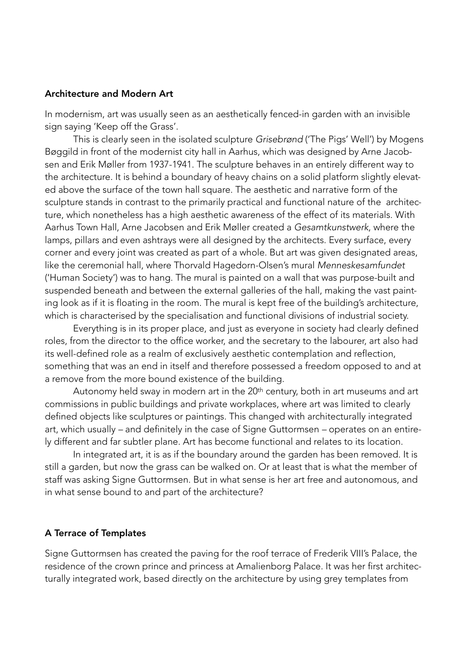### Architecture and Modern Art

In modernism, art was usually seen as an aesthetically fenced-in garden with an invisible sign saying 'Keep off the Grass'.

 This is clearly seen in the isolated sculpture *Grisebrønd* ('The Pigs' Well') by Mogens Bøggild in front of the modernist city hall in Aarhus, which was designed by Arne Jacobsen and Erik Møller from 1937-1941. The sculpture behaves in an entirely different way to the architecture. It is behind a boundary of heavy chains on a solid platform slightly elevated above the surface of the town hall square. The aesthetic and narrative form of the sculpture stands in contrast to the primarily practical and functional nature of the architecture, which nonetheless has a high aesthetic awareness of the effect of its materials. With Aarhus Town Hall, Arne Jacobsen and Erik Møller created a *Gesamtkunstwerk*, where the lamps, pillars and even ashtrays were all designed by the architects. Every surface, every corner and every joint was created as part of a whole. But art was given designated areas, like the ceremonial hall, where Thorvald Hagedorn-Olsen's mural *Menneskesamfundet*  ('Human Society') was to hang. The mural is painted on a wall that was purpose-built and suspended beneath and between the external galleries of the hall, making the vast painting look as if it is floating in the room. The mural is kept free of the building's architecture, which is characterised by the specialisation and functional divisions of industrial society.

 Everything is in its proper place, and just as everyone in society had clearly defined roles, from the director to the office worker, and the secretary to the labourer, art also had its well-defined role as a realm of exclusively aesthetic contemplation and reflection, something that was an end in itself and therefore possessed a freedom opposed to and at a remove from the more bound existence of the building.

Autonomy held sway in modern art in the 20<sup>th</sup> century, both in art museums and art commissions in public buildings and private workplaces, where art was limited to clearly defined objects like sculptures or paintings. This changed with architecturally integrated art, which usually *–* and definitely in the case of Signe Guttormsen *–* operates on an entirely different and far subtler plane. Art has become functional and relates to its location.

 In integrated art, it is as if the boundary around the garden has been removed. It is still a garden, but now the grass can be walked on. Or at least that is what the member of staff was asking Signe Guttormsen. But in what sense is her art free and autonomous, and in what sense bound to and part of the architecture?

#### A Terrace of Templates

Signe Guttormsen has created the paving for the roof terrace of Frederik VIII's Palace, the residence of the crown prince and princess at Amalienborg Palace. It was her first architecturally integrated work, based directly on the architecture by using grey templates from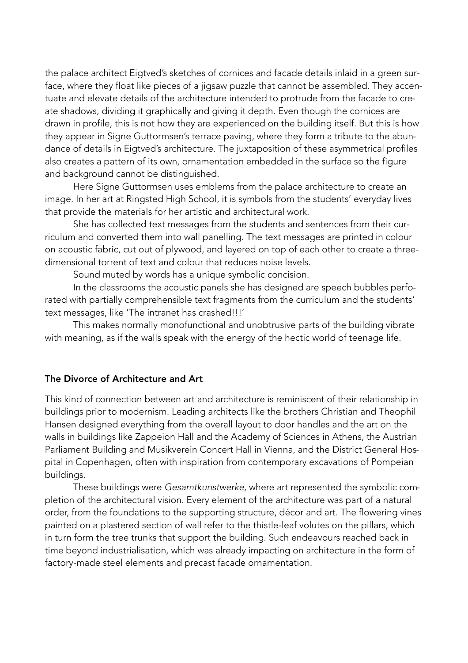the palace architect Eigtved's sketches of cornices and facade details inlaid in a green surface, where they float like pieces of a jigsaw puzzle that cannot be assembled. They accentuate and elevate details of the architecture intended to protrude from the facade to create shadows, dividing it graphically and giving it depth. Even though the cornices are drawn in profile, this is not how they are experienced on the building itself. But this is how they appear in Signe Guttormsen's terrace paving, where they form a tribute to the abundance of details in Eigtved's architecture. The juxtaposition of these asymmetrical profiles also creates a pattern of its own, ornamentation embedded in the surface so the figure and background cannot be distinguished.

 Here Signe Guttormsen uses emblems from the palace architecture to create an image. In her art at Ringsted High School, it is symbols from the students' everyday lives that provide the materials for her artistic and architectural work.

 She has collected text messages from the students and sentences from their curriculum and converted them into wall panelling. The text messages are printed in colour on acoustic fabric, cut out of plywood, and layered on top of each other to create a threedimensional torrent of text and colour that reduces noise levels.

Sound muted by words has a unique symbolic concision.

 In the classrooms the acoustic panels she has designed are speech bubbles perforated with partially comprehensible text fragments from the curriculum and the students' text messages, like 'The intranet has crashed!!!'

 This makes normally monofunctional and unobtrusive parts of the building vibrate with meaning, as if the walls speak with the energy of the hectic world of teenage life.

# The Divorce of Architecture and Art

This kind of connection between art and architecture is reminiscent of their relationship in buildings prior to modernism. Leading architects like the brothers Christian and Theophil Hansen designed everything from the overall layout to door handles and the art on the walls in buildings like Zappeion Hall and the Academy of Sciences in Athens, the Austrian Parliament Building and Musikverein Concert Hall in Vienna, and the District General Hospital in Copenhagen, often with inspiration from contemporary excavations of Pompeian buildings.

 These buildings were *Gesamtkunstwerke*, where art represented the symbolic completion of the architectural vision. Every element of the architecture was part of a natural order, from the foundations to the supporting structure, décor and art. The flowering vines painted on a plastered section of wall refer to the thistle-leaf volutes on the pillars, which in turn form the tree trunks that support the building. Such endeavours reached back in time beyond industrialisation, which was already impacting on architecture in the form of factory-made steel elements and precast facade ornamentation.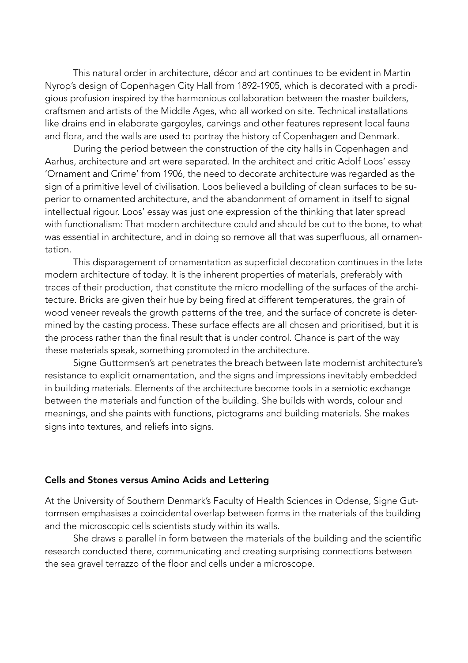This natural order in architecture, décor and art continues to be evident in Martin Nyrop's design of Copenhagen City Hall from 1892-1905, which is decorated with a prodigious profusion inspired by the harmonious collaboration between the master builders, craftsmen and artists of the Middle Ages, who all worked on site. Technical installations like drains end in elaborate gargoyles, carvings and other features represent local fauna and flora, and the walls are used to portray the history of Copenhagen and Denmark.

 During the period between the construction of the city halls in Copenhagen and Aarhus, architecture and art were separated. In the architect and critic Adolf Loos' essay 'Ornament and Crime' from 1906, the need to decorate architecture was regarded as the sign of a primitive level of civilisation. Loos believed a building of clean surfaces to be superior to ornamented architecture, and the abandonment of ornament in itself to signal intellectual rigour. Loos' essay was just one expression of the thinking that later spread with functionalism: That modern architecture could and should be cut to the bone, to what was essential in architecture, and in doing so remove all that was superfluous, all ornamentation.

 This disparagement of ornamentation as superficial decoration continues in the late modern architecture of today. It is the inherent properties of materials, preferably with traces of their production, that constitute the micro modelling of the surfaces of the architecture. Bricks are given their hue by being fired at different temperatures, the grain of wood veneer reveals the growth patterns of the tree, and the surface of concrete is determined by the casting process. These surface effects are all chosen and prioritised, but it is the process rather than the final result that is under control. Chance is part of the way these materials speak, something promoted in the architecture.

 Signe Guttormsen's art penetrates the breach between late modernist architecture's resistance to explicit ornamentation, and the signs and impressions inevitably embedded in building materials. Elements of the architecture become tools in a semiotic exchange between the materials and function of the building. She builds with words, colour and meanings, and she paints with functions, pictograms and building materials. She makes signs into textures, and reliefs into signs.

### Cells and Stones versus Amino Acids and Lettering

At the University of Southern Denmark's Faculty of Health Sciences in Odense, Signe Guttormsen emphasises a coincidental overlap between forms in the materials of the building and the microscopic cells scientists study within its walls.

 She draws a parallel in form between the materials of the building and the scientific research conducted there, communicating and creating surprising connections between the sea gravel terrazzo of the floor and cells under a microscope.